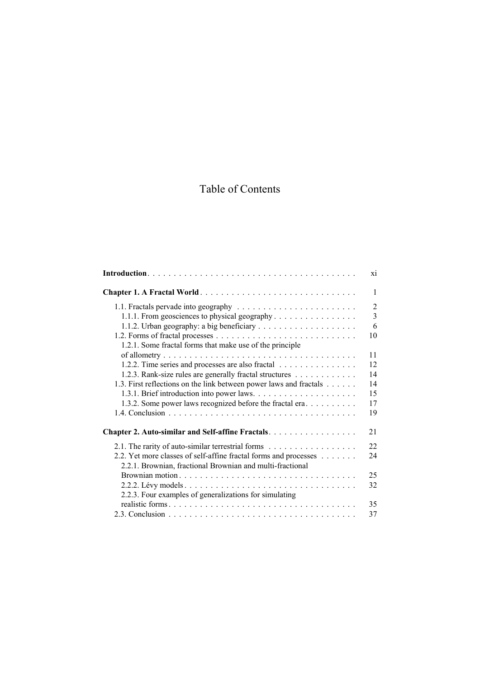## Table of Contents

|                                                                                                                               | X1             |
|-------------------------------------------------------------------------------------------------------------------------------|----------------|
| Chapter 1. A Fractal World                                                                                                    | $\mathbf{1}$   |
|                                                                                                                               | $\overline{2}$ |
| 1.1.1. From geosciences to physical geography                                                                                 | $\overline{3}$ |
|                                                                                                                               | 6              |
|                                                                                                                               | 10             |
| 1.2.1. Some fractal forms that make use of the principle                                                                      |                |
|                                                                                                                               | 11             |
| 1.2.2. Time series and processes are also fractal                                                                             | 12             |
| 1.2.3. Rank-size rules are generally fractal structures                                                                       | 14             |
| 1.3. First reflections on the link between power laws and fractals                                                            | 14             |
|                                                                                                                               | 15             |
| 1.3.2. Some power laws recognized before the fractal era                                                                      | 17             |
|                                                                                                                               | 19             |
| Chapter 2. Auto-similar and Self-affine Fractals.                                                                             | 21             |
| 2.1. The rarity of auto-similar terrestrial forms                                                                             | 22             |
| 2.2. Yet more classes of self-affine fractal forms and processes<br>2.2.1. Brownian, fractional Brownian and multi-fractional | 24             |
|                                                                                                                               | 25             |
|                                                                                                                               | 32             |
| 2.2.3. Four examples of generalizations for simulating                                                                        |                |
|                                                                                                                               | 35             |
|                                                                                                                               | 37             |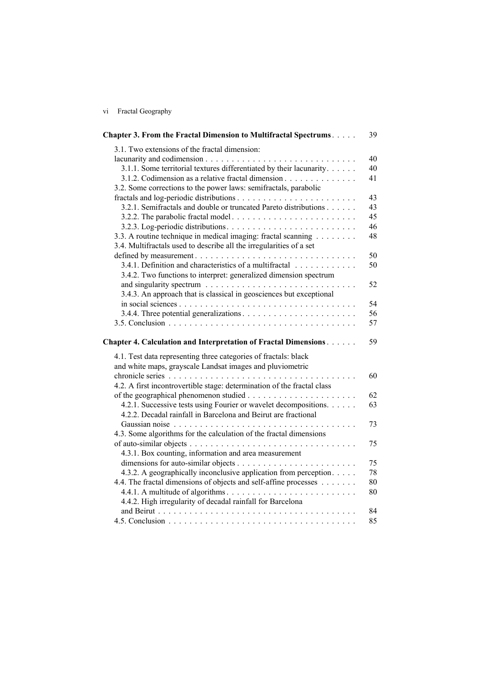| V1 |  | Fractal Geography |
|----|--|-------------------|
|----|--|-------------------|

| <b>Chapter 3. From the Fractal Dimension to Multifractal Spectrums</b>  | 39 |
|-------------------------------------------------------------------------|----|
| 3.1. Two extensions of the fractal dimension:                           |    |
|                                                                         | 40 |
| 3.1.1. Some territorial textures differentiated by their lacunarity.    | 40 |
| 3.1.2. Codimension as a relative fractal dimension                      | 41 |
| 3.2. Some corrections to the power laws: semifractals, parabolic        |    |
|                                                                         | 43 |
| 3.2.1. Semifractals and double or truncated Pareto distributions        | 43 |
|                                                                         | 45 |
|                                                                         | 46 |
| 3.3. A routine technique in medical imaging: fractal scanning           | 48 |
| 3.4. Multifractals used to describe all the irregularities of a set     |    |
|                                                                         | 50 |
| 3.4.1. Definition and characteristics of a multifractal                 | 50 |
| 3.4.2. Two functions to interpret: generalized dimension spectrum       |    |
|                                                                         | 52 |
| 3.4.3. An approach that is classical in geosciences but exceptional     |    |
|                                                                         | 54 |
|                                                                         | 56 |
|                                                                         | 57 |
| Chapter 4. Calculation and Interpretation of Fractal Dimensions         | 59 |
| 4.1. Test data representing three categories of fractals: black         |    |
| and white maps, grayscale Landsat images and pluviometric               |    |
|                                                                         | 60 |
| 4.2. A first incontrovertible stage: determination of the fractal class |    |
|                                                                         | 62 |
| 4.2.1. Successive tests using Fourier or wavelet decompositions.        | 63 |
| 4.2.2. Decadal rainfall in Barcelona and Beirut are fractional          |    |
|                                                                         | 73 |
| 4.3. Some algorithms for the calculation of the fractal dimensions      |    |
|                                                                         | 75 |
| 4.3.1. Box counting, information and area measurement                   |    |
|                                                                         | 75 |
| 4.3.2. A geographically inconclusive application from perception.       | 78 |
| 4.4. The fractal dimensions of objects and self-affine processes        | 80 |
|                                                                         | 80 |
| 4.4.2. High irregularity of decadal rainfall for Barcelona              |    |
|                                                                         | 84 |
|                                                                         | 85 |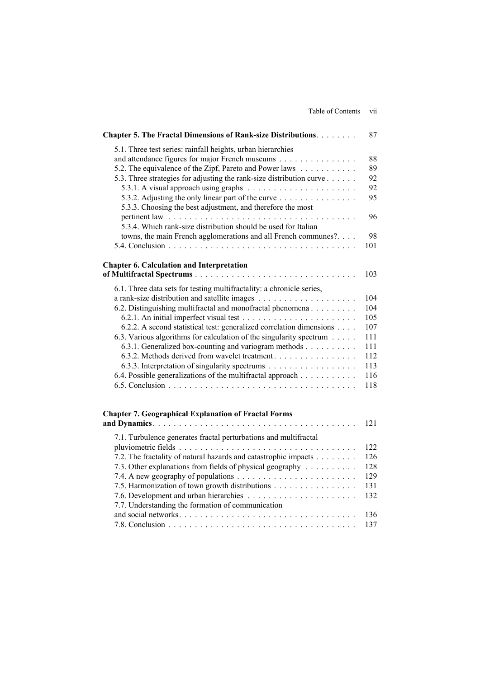|  |                   | . . |
|--|-------------------|-----|
|  | Table of Contents | V11 |
|  |                   |     |
|  |                   |     |

| Chapter 5. The Fractal Dimensions of Rank-size Distributions.                                                     | 87  |
|-------------------------------------------------------------------------------------------------------------------|-----|
| 5.1. Three test series: rainfall heights, urban hierarchies                                                       |     |
| and attendance figures for major French museums                                                                   | 88  |
| 5.2. The equivalence of the Zipf, Pareto and Power laws                                                           | 89  |
| 5.3. Three strategies for adjusting the rank-size distribution curve                                              | 92  |
|                                                                                                                   | 92  |
| 5.3.2. Adjusting the only linear part of the curve<br>5.3.3. Choosing the best adjustment, and therefore the most | 95  |
| 5.3.4. Which rank-size distribution should be used for Italian                                                    | 96  |
| towns, the main French agglomerations and all French communes?                                                    | 98  |
|                                                                                                                   | 101 |
| <b>Chapter 6. Calculation and Interpretation</b>                                                                  |     |
|                                                                                                                   | 103 |
| 6.1. Three data sets for testing multifractality: a chronicle series,                                             |     |
|                                                                                                                   | 104 |
| 6.2. Distinguishing multifractal and monofractal phenomena                                                        | 104 |
|                                                                                                                   | 105 |
| 6.2.2. A second statistical test: generalized correlation dimensions                                              | 107 |
| 6.3. Various algorithms for calculation of the singularity spectrum                                               | 111 |
| 6.3.1. Generalized box-counting and variogram methods                                                             | 111 |
| 6.3.2. Methods derived from wavelet treatment.                                                                    | 112 |
| 6.3.3. Interpretation of singularity spectrums                                                                    | 113 |
| 6.4. Possible generalizations of the multifractal approach                                                        | 116 |
|                                                                                                                   | 118 |
|                                                                                                                   |     |
| <b>Chapter 7. Geographical Explanation of Fractal Forms</b>                                                       | 121 |
|                                                                                                                   |     |
| 7.1. Turbulence generates fractal perturbations and multifractal                                                  |     |
|                                                                                                                   |     |

| 7.1. Turbulence generates fractal perturbations and multifractal |     |
|------------------------------------------------------------------|-----|
|                                                                  | 122 |
| 7.2. The fractality of natural hazards and catastrophic impacts  | 126 |
| 7.3. Other explanations from fields of physical geography        | 128 |
|                                                                  | 129 |
| 7.5. Harmonization of town growth distributions                  | 131 |
|                                                                  |     |
| 7.7. Understanding the formation of communication                |     |
|                                                                  | 136 |
|                                                                  |     |
|                                                                  |     |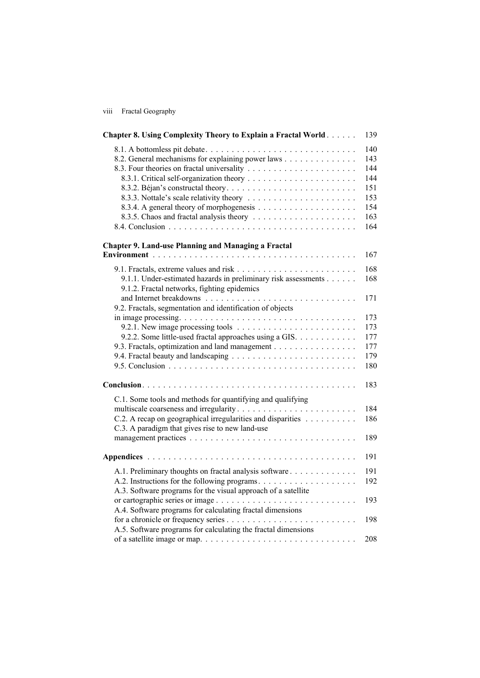| V111 | Fractal Geography |
|------|-------------------|
|      |                   |
|      |                   |

| <b>Chapter 8. Using Complexity Theory to Explain a Fractal World</b>                                                                                                         | 139                                                         |
|------------------------------------------------------------------------------------------------------------------------------------------------------------------------------|-------------------------------------------------------------|
| 8.1. A bottomless pit debate<br>8.2. General mechanisms for explaining power laws                                                                                            | 140<br>143<br>144<br>144<br>151<br>153<br>154<br>163<br>164 |
| <b>Chapter 9. Land-use Planning and Managing a Fractal</b>                                                                                                                   | 167                                                         |
| 9.1.1. Under-estimated hazards in preliminary risk assessments<br>9.1.2. Fractal networks, fighting epidemics                                                                | 168<br>168                                                  |
| 9.2. Fractals, segmentation and identification of objects                                                                                                                    | 171                                                         |
| 9.2.2. Some little-used fractal approaches using a GIS.<br>9.3. Fractals, optimization and land management                                                                   | 173<br>173<br>177<br>177<br>179<br>180                      |
|                                                                                                                                                                              | 183                                                         |
| C.1. Some tools and methods for quantifying and qualifying<br>C.2. A recap on geographical irregularities and disparities<br>C.3. A paradigm that gives rise to new land-use | 184<br>186<br>189                                           |
|                                                                                                                                                                              | 191                                                         |
| A.1. Preliminary thoughts on fractal analysis software<br>A.3. Software programs for the visual approach of a satellite                                                      | 191<br>192                                                  |
| A.4. Software programs for calculating fractal dimensions                                                                                                                    | 193<br>198                                                  |
| A.5. Software programs for calculating the fractal dimensions                                                                                                                | 208                                                         |